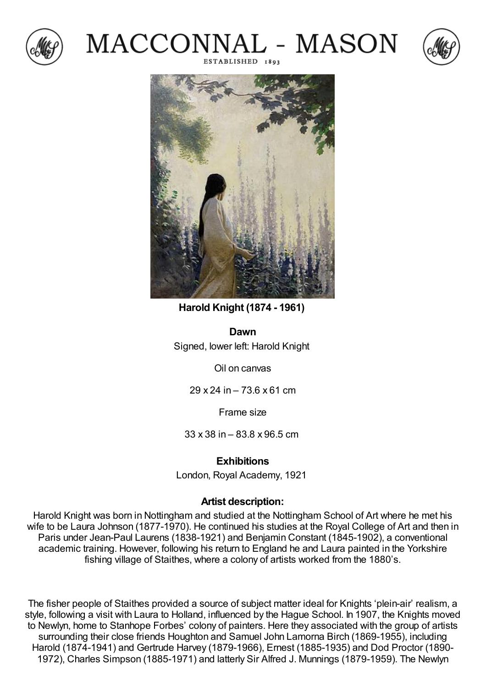







**Harold Knight (1874 - 1961)**

**Dawn** Signed, lower left: Harold Knight

Oil on canvas

29 x 24 in – 73.6 x 61 cm

Frame size

33 x 38 in – 83.8 x 96.5 cm

## **Exhibitions**

London, Royal Academy, 1921

## **Artist description:**

Harold Knight was born in Nottingham and studied at the Nottingham School of Art where he met his wife to be Laura Johnson (1877-1970). He continued his studies at the Royal College of Art and then in Paris under Jean-Paul Laurens (1838-1921) and Benjamin Constant (1845-1902), a conventional academic training. However, following his return to England he and Laura painted in the Yorkshire fishing village of Staithes, where a colony of artists worked from the 1880's.

The fisher people of Staithes provided a source of subject matter ideal for Knights 'plein-air' realism, a style, following a visit with Laura to Holland, influenced by the Hague School. In 1907, the Knights moved to Newlyn, home to Stanhope Forbes' colony of painters. Here they associated with the group of artists surrounding their close friends Houghton and Samuel John Lamorna Birch (1869-1955), including Harold (1874-1941) and Gertrude Harvey (1879-1966), Ernest (1885-1935) and Dod Proctor (1890- 1972), Charles Simpson (1885-1971) and latterly Sir Alfred J. Munnings (1879-1959). The Newlyn